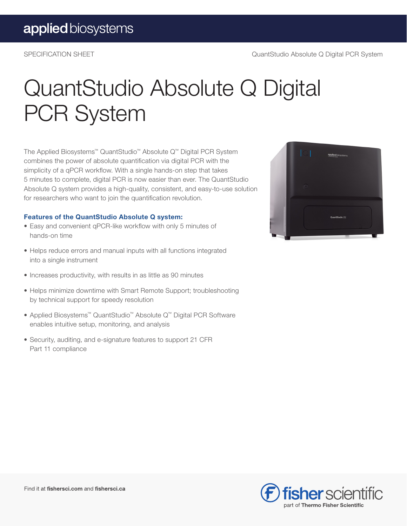## QuantStudio Absolute Q Digital PCR System

The Applied Biosystems™ QuantStudio™ Absolute Q™ Digital PCR System combines the power of absolute quantification via digital PCR with the simplicity of a qPCR workflow. With a single hands-on step that takes 5 minutes to complete, digital PCR is now easier than ever. The QuantStudio Absolute Q system provides a high-quality, consistent, and easy-to-use solution for researchers who want to join the quantification revolution.

#### Features of the QuantStudio Absolute Q system:

- Easy and convenient qPCR-like workflow with only 5 minutes of hands-on time
- Helps reduce errors and manual inputs with all functions integrated into a single instrument
- Increases productivity, with results in as little as 90 minutes
- Helps minimize downtime with Smart Remote Support; troubleshooting by technical support for speedy resolution
- Applied Biosystems™ QuantStudio™ Absolute Q™ Digital PCR Software enables intuitive setup, monitoring, and analysis
- Security, auditing, and e-signature features to support 21 CFR Part 11 compliance